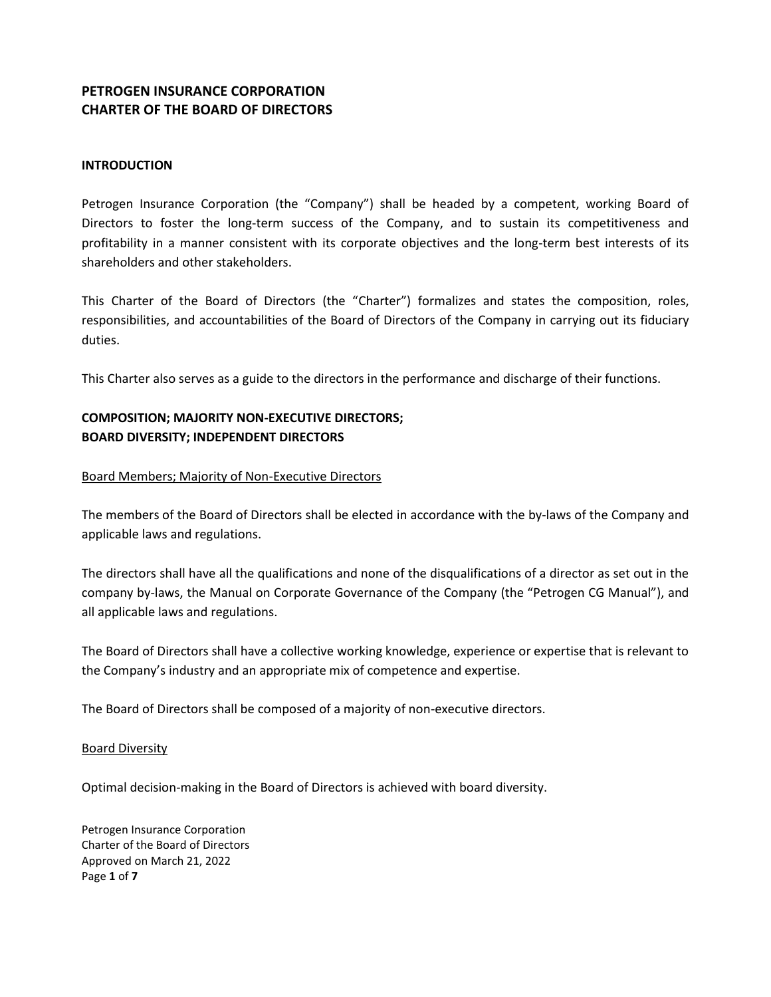## **PETROGEN INSURANCE CORPORATION CHARTER OF THE BOARD OF DIRECTORS**

### **INTRODUCTION**

Petrogen Insurance Corporation (the "Company") shall be headed by a competent, working Board of Directors to foster the long-term success of the Company, and to sustain its competitiveness and profitability in a manner consistent with its corporate objectives and the long-term best interests of its shareholders and other stakeholders.

This Charter of the Board of Directors (the "Charter") formalizes and states the composition, roles, responsibilities, and accountabilities of the Board of Directors of the Company in carrying out its fiduciary duties.

This Charter also serves as a guide to the directors in the performance and discharge of their functions.

# **COMPOSITION; MAJORITY NON-EXECUTIVE DIRECTORS; BOARD DIVERSITY; INDEPENDENT DIRECTORS**

### Board Members; Majority of Non-Executive Directors

The members of the Board of Directors shall be elected in accordance with the by-laws of the Company and applicable laws and regulations.

The directors shall have all the qualifications and none of the disqualifications of a director as set out in the company by-laws, the Manual on Corporate Governance of the Company (the "Petrogen CG Manual"), and all applicable laws and regulations.

The Board of Directors shall have a collective working knowledge, experience or expertise that is relevant to the Company's industry and an appropriate mix of competence and expertise.

The Board of Directors shall be composed of a majority of non-executive directors.

### Board Diversity

Optimal decision-making in the Board of Directors is achieved with board diversity.

Petrogen Insurance Corporation Charter of the Board of Directors Approved on March 21, 2022 Page **1** of **7**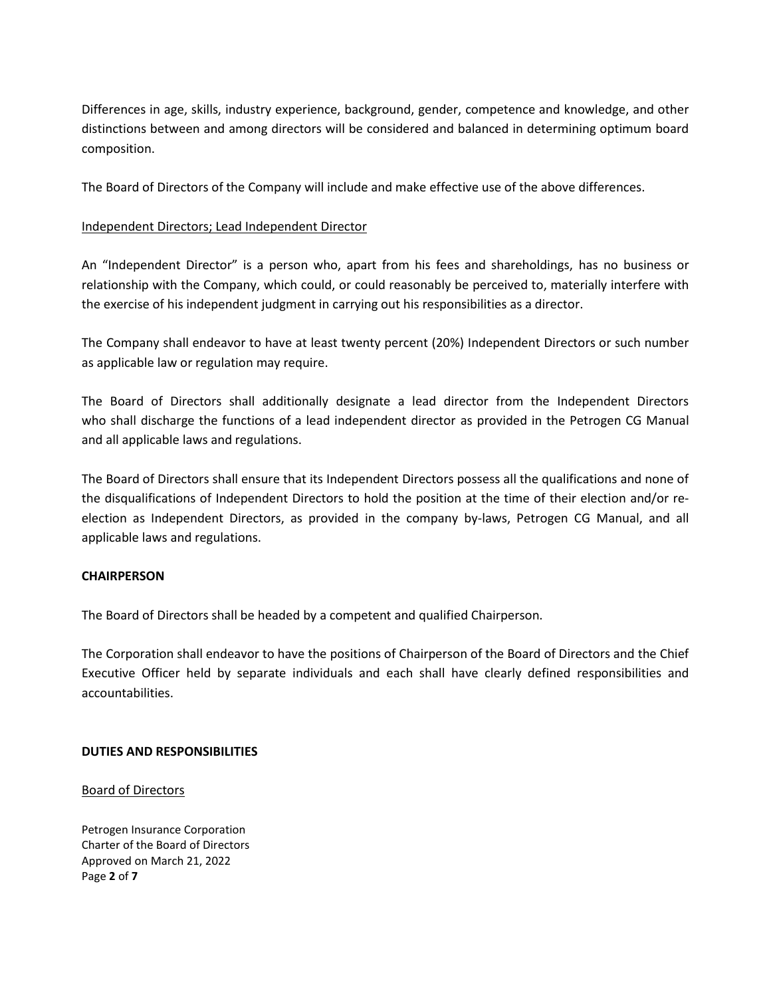Differences in age, skills, industry experience, background, gender, competence and knowledge, and other distinctions between and among directors will be considered and balanced in determining optimum board composition.

The Board of Directors of the Company will include and make effective use of the above differences.

### Independent Directors; Lead Independent Director

An "Independent Director" is a person who, apart from his fees and shareholdings, has no business or relationship with the Company, which could, or could reasonably be perceived to, materially interfere with the exercise of his independent judgment in carrying out his responsibilities as a director.

The Company shall endeavor to have at least twenty percent (20%) Independent Directors or such number as applicable law or regulation may require.

The Board of Directors shall additionally designate a lead director from the Independent Directors who shall discharge the functions of a lead independent director as provided in the Petrogen CG Manual and all applicable laws and regulations.

The Board of Directors shall ensure that its Independent Directors possess all the qualifications and none of the disqualifications of Independent Directors to hold the position at the time of their election and/or reelection as Independent Directors, as provided in the company by-laws, Petrogen CG Manual, and all applicable laws and regulations.

### **CHAIRPERSON**

The Board of Directors shall be headed by a competent and qualified Chairperson.

The Corporation shall endeavor to have the positions of Chairperson of the Board of Directors and the Chief Executive Officer held by separate individuals and each shall have clearly defined responsibilities and accountabilities.

### **DUTIES AND RESPONSIBILITIES**

### Board of Directors

Petrogen Insurance Corporation Charter of the Board of Directors Approved on March 21, 2022 Page **2** of **7**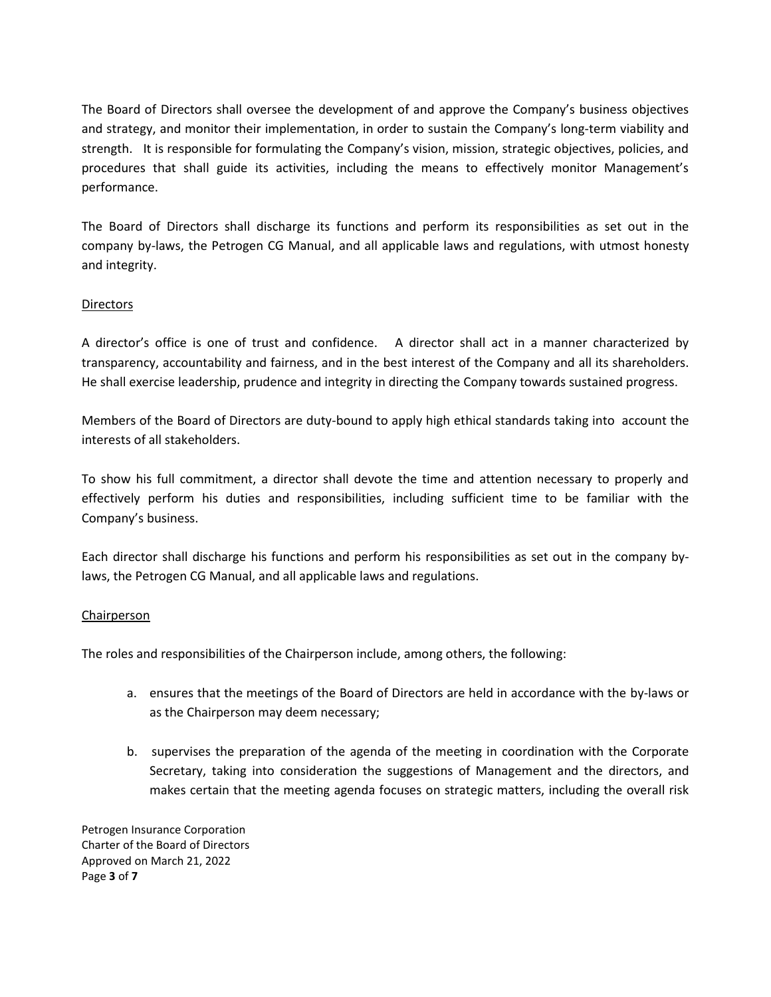The Board of Directors shall oversee the development of and approve the Company's business objectives and strategy, and monitor their implementation, in order to sustain the Company's long-term viability and strength. It is responsible for formulating the Company's vision, mission, strategic objectives, policies, and procedures that shall guide its activities, including the means to effectively monitor Management's performance.

The Board of Directors shall discharge its functions and perform its responsibilities as set out in the company by-laws, the Petrogen CG Manual, and all applicable laws and regulations, with utmost honesty and integrity.

### **Directors**

A director's office is one of trust and confidence. A director shall act in a manner characterized by transparency, accountability and fairness, and in the best interest of the Company and all its shareholders. He shall exercise leadership, prudence and integrity in directing the Company towards sustained progress.

Members of the Board of Directors are duty-bound to apply high ethical standards taking into account the interests of all stakeholders.

To show his full commitment, a director shall devote the time and attention necessary to properly and effectively perform his duties and responsibilities, including sufficient time to be familiar with the Company's business.

Each director shall discharge his functions and perform his responsibilities as set out in the company bylaws, the Petrogen CG Manual, and all applicable laws and regulations.

### Chairperson

The roles and responsibilities of the Chairperson include, among others, the following:

- a. ensures that the meetings of the Board of Directors are held in accordance with the by-laws or as the Chairperson may deem necessary;
- b. supervises the preparation of the agenda of the meeting in coordination with the Corporate Secretary, taking into consideration the suggestions of Management and the directors, and makes certain that the meeting agenda focuses on strategic matters, including the overall risk

Petrogen Insurance Corporation Charter of the Board of Directors Approved on March 21, 2022 Page **3** of **7**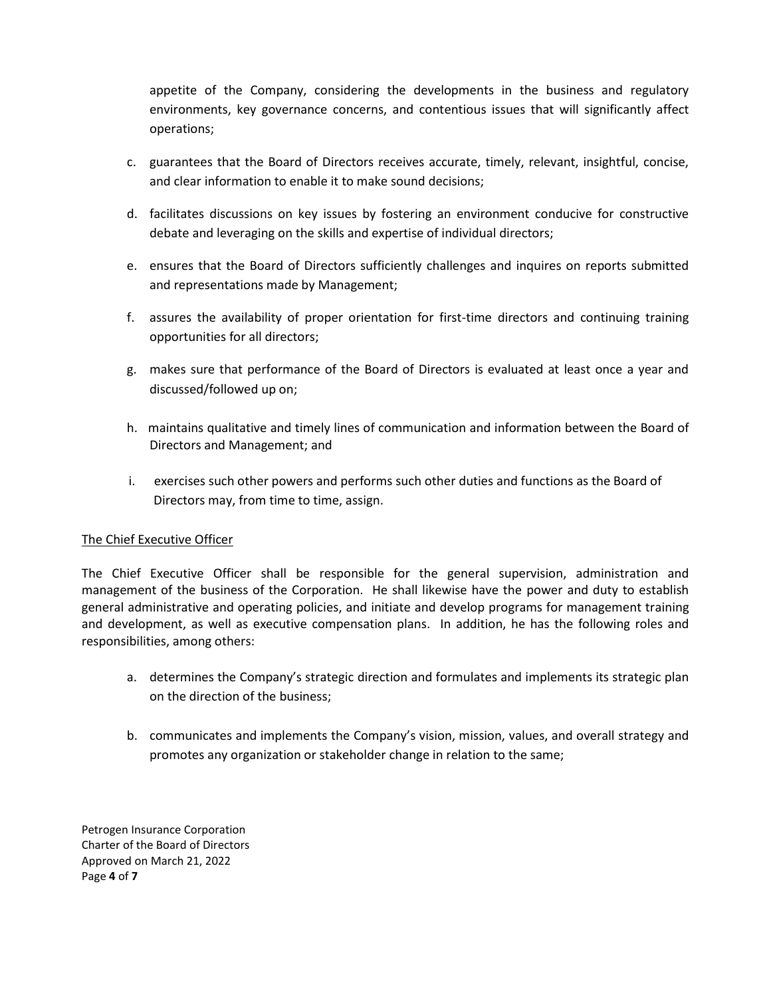appetite of the Company, considering the developments in the business and regulatory environments, key governance concerns, and contentious issues that will significantly affect operations;

- c. guarantees that the Board of Directors receives accurate, timely, relevant, insightful, concise, and clear information to enable it to make sound decisions;
- d. facilitates discussions on key issues by fostering an environment conducive for constructive debate and leveraging on the skills and expertise of individual directors;
- e. ensures that the Board of Directors sufficiently challenges and inquires on reports submitted and representations made by Management;
- f. assures the availability of proper orientation for first-time directors and continuing training opportunities for all directors;
- g. makes sure that performance of the Board of Directors is evaluated at least once a year and discussed/followed up on;
- h. maintains qualitative and timely lines of communication and information between the Board of Directors and Management; and
- i. exercises such other powers and performs such other duties and functions as the Board of Directors may, from time to time, assign.

### The Chief Executive Officer

The Chief Executive Officer shall be responsible for the general supervision, administration and management of the business of the Corporation. He shall likewise have the power and duty to establish general administrative and operating policies, and initiate and develop programs for management training and development, as well as executive compensation plans. In addition, he has the following roles and responsibilities, among others:

- a. determines the Company's strategic direction and formulates and implements its strategic plan on the direction of the business;
- b. communicates and implements the Company's vision, mission, values, and overall strategy and promotes any organization or stakeholder change in relation to the same;

Petrogen Insurance Corporation Charter of the Board of Directors Approved on March 21, 2022 Page **4** of **7**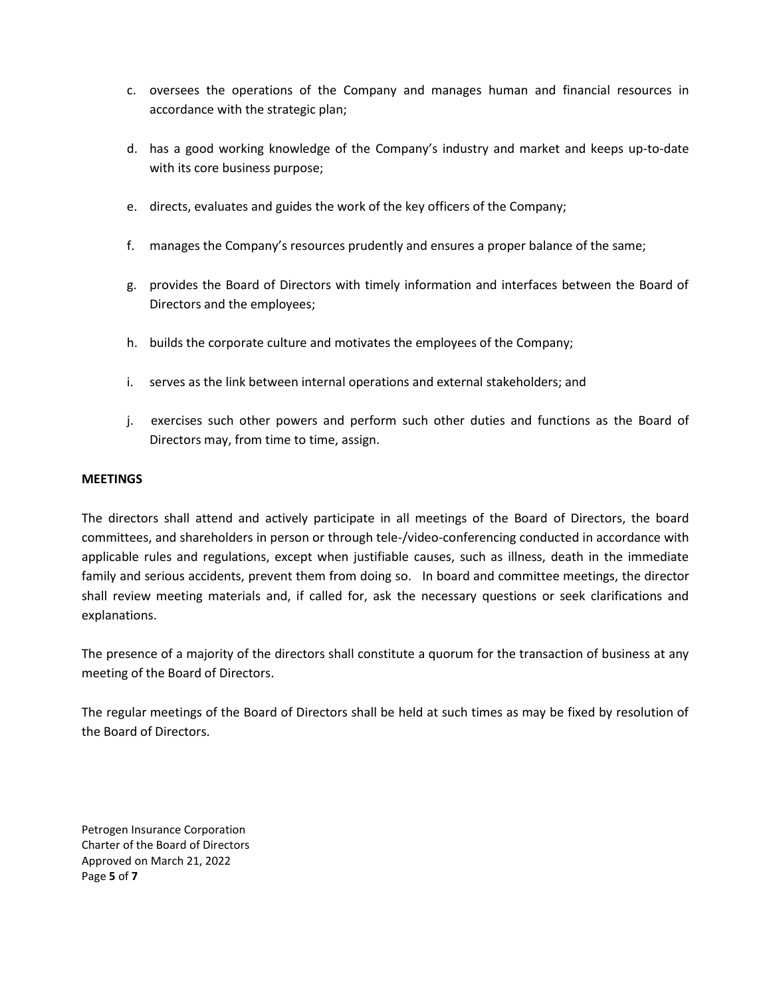- c. oversees the operations of the Company and manages human and financial resources in accordance with the strategic plan;
- d. has a good working knowledge of the Company's industry and market and keeps up-to-date with its core business purpose;
- e. directs, evaluates and guides the work of the key officers of the Company;
- f. manages the Company's resources prudently and ensures a proper balance of the same;
- g. provides the Board of Directors with timely information and interfaces between the Board of Directors and the employees;
- h. builds the corporate culture and motivates the employees of the Company;
- i. serves as the link between internal operations and external stakeholders; and
- j. exercises such other powers and perform such other duties and functions as the Board of Directors may, from time to time, assign.

#### **MEETINGS**

The directors shall attend and actively participate in all meetings of the Board of Directors, the board committees, and shareholders in person or through tele-/video-conferencing conducted in accordance with applicable rules and regulations, except when justifiable causes, such as illness, death in the immediate family and serious accidents, prevent them from doing so. In board and committee meetings, the director shall review meeting materials and, if called for, ask the necessary questions or seek clarifications and explanations.

The presence of a majority of the directors shall constitute a quorum for the transaction of business at any meeting of the Board of Directors.

The regular meetings of the Board of Directors shall be held at such times as may be fixed by resolution of the Board of Directors.

Petrogen Insurance Corporation Charter of the Board of Directors Approved on March 21, 2022 Page **5** of **7**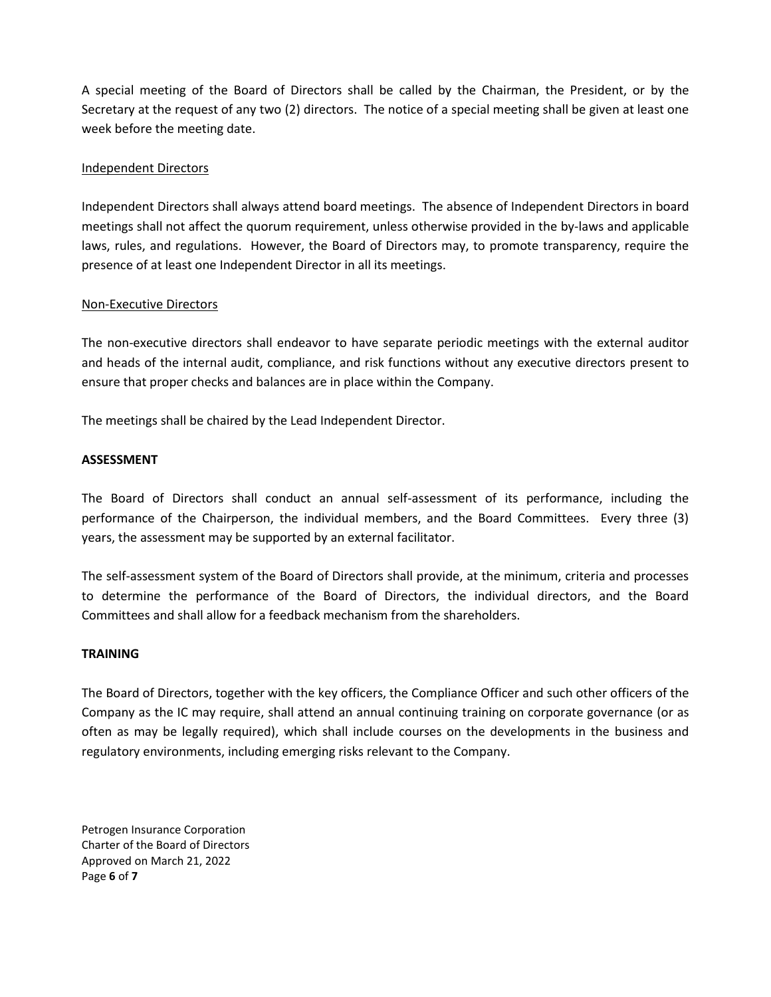A special meeting of the Board of Directors shall be called by the Chairman, the President, or by the Secretary at the request of any two (2) directors. The notice of a special meeting shall be given at least one week before the meeting date.

### Independent Directors

Independent Directors shall always attend board meetings. The absence of Independent Directors in board meetings shall not affect the quorum requirement, unless otherwise provided in the by-laws and applicable laws, rules, and regulations. However, the Board of Directors may, to promote transparency, require the presence of at least one Independent Director in all its meetings.

### Non-Executive Directors

The non-executive directors shall endeavor to have separate periodic meetings with the external auditor and heads of the internal audit, compliance, and risk functions without any executive directors present to ensure that proper checks and balances are in place within the Company.

The meetings shall be chaired by the Lead Independent Director.

### **ASSESSMENT**

The Board of Directors shall conduct an annual self-assessment of its performance, including the performance of the Chairperson, the individual members, and the Board Committees. Every three (3) years, the assessment may be supported by an external facilitator.

The self-assessment system of the Board of Directors shall provide, at the minimum, criteria and processes to determine the performance of the Board of Directors, the individual directors, and the Board Committees and shall allow for a feedback mechanism from the shareholders.

### **TRAINING**

The Board of Directors, together with the key officers, the Compliance Officer and such other officers of the Company as the IC may require, shall attend an annual continuing training on corporate governance (or as often as may be legally required), which shall include courses on the developments in the business and regulatory environments, including emerging risks relevant to the Company.

Petrogen Insurance Corporation Charter of the Board of Directors Approved on March 21, 2022 Page **6** of **7**